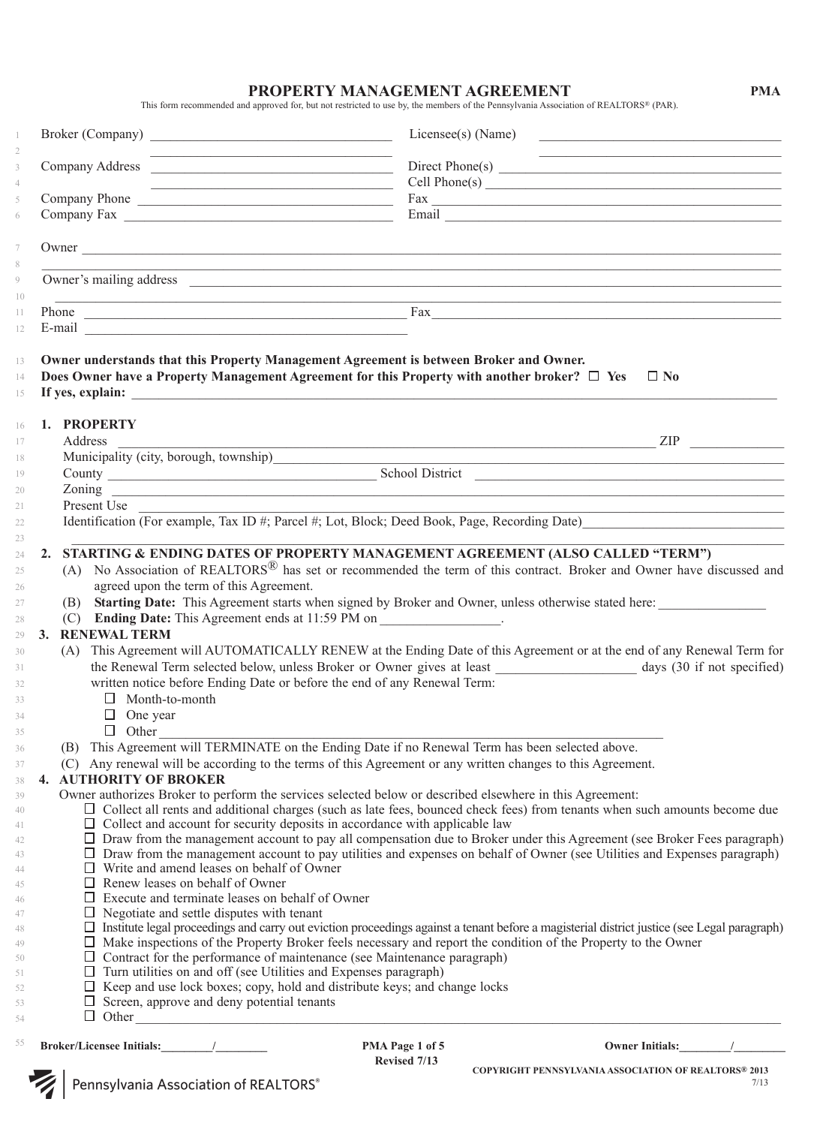# **PrOPertY MANAgeMeNt AgreeMeNt**

This form recommended and approved for, but not restricted to use by, the members of the Pennsylvania Association of REALTORS® (PAR).

|                                                                                                                                                                                                                                                                                                                                                                              | Licensee(s) (Name)                                                                                                                                                                                                                                                                                                                                                                                                                                                                           | the control of the control of the control of the control of the control of the control of                                                                                                                                                                                                                                                                                                                                                                                                                                                                    |
|------------------------------------------------------------------------------------------------------------------------------------------------------------------------------------------------------------------------------------------------------------------------------------------------------------------------------------------------------------------------------|----------------------------------------------------------------------------------------------------------------------------------------------------------------------------------------------------------------------------------------------------------------------------------------------------------------------------------------------------------------------------------------------------------------------------------------------------------------------------------------------|--------------------------------------------------------------------------------------------------------------------------------------------------------------------------------------------------------------------------------------------------------------------------------------------------------------------------------------------------------------------------------------------------------------------------------------------------------------------------------------------------------------------------------------------------------------|
| the control of the control of the control of the control of the control of the control of<br>Company Address                                                                                                                                                                                                                                                                 |                                                                                                                                                                                                                                                                                                                                                                                                                                                                                              | <u> 1990 - Johann Stein, marwolaethau a bhann an t-</u><br>Direct Phone(s)                                                                                                                                                                                                                                                                                                                                                                                                                                                                                   |
| <u> 1989 - Johann Harry Harry Harry Harry Harry Harry Harry Harry Harry Harry Harry Harry Harry Harry Harry Harry</u>                                                                                                                                                                                                                                                        |                                                                                                                                                                                                                                                                                                                                                                                                                                                                                              |                                                                                                                                                                                                                                                                                                                                                                                                                                                                                                                                                              |
| Company Phone                                                                                                                                                                                                                                                                                                                                                                |                                                                                                                                                                                                                                                                                                                                                                                                                                                                                              |                                                                                                                                                                                                                                                                                                                                                                                                                                                                                                                                                              |
|                                                                                                                                                                                                                                                                                                                                                                              |                                                                                                                                                                                                                                                                                                                                                                                                                                                                                              | Email and the contract of the contract of the contract of the contract of the contract of the contract of the contract of the contract of the contract of the contract of the contract of the contract of the contract of the                                                                                                                                                                                                                                                                                                                                |
| Owner                                                                                                                                                                                                                                                                                                                                                                        |                                                                                                                                                                                                                                                                                                                                                                                                                                                                                              |                                                                                                                                                                                                                                                                                                                                                                                                                                                                                                                                                              |
|                                                                                                                                                                                                                                                                                                                                                                              |                                                                                                                                                                                                                                                                                                                                                                                                                                                                                              |                                                                                                                                                                                                                                                                                                                                                                                                                                                                                                                                                              |
|                                                                                                                                                                                                                                                                                                                                                                              |                                                                                                                                                                                                                                                                                                                                                                                                                                                                                              |                                                                                                                                                                                                                                                                                                                                                                                                                                                                                                                                                              |
|                                                                                                                                                                                                                                                                                                                                                                              |                                                                                                                                                                                                                                                                                                                                                                                                                                                                                              |                                                                                                                                                                                                                                                                                                                                                                                                                                                                                                                                                              |
| Owner understands that this Property Management Agreement is between Broker and Owner.<br>Does Owner have a Property Management Agreement for this Property with another broker? $\Box$ Yes $\Box$ No                                                                                                                                                                        |                                                                                                                                                                                                                                                                                                                                                                                                                                                                                              |                                                                                                                                                                                                                                                                                                                                                                                                                                                                                                                                                              |
| 1. PROPERTY<br>Address                                                                                                                                                                                                                                                                                                                                                       |                                                                                                                                                                                                                                                                                                                                                                                                                                                                                              |                                                                                                                                                                                                                                                                                                                                                                                                                                                                                                                                                              |
|                                                                                                                                                                                                                                                                                                                                                                              | $\overline{\phantom{a}}$ $\overline{\phantom{a}}$ $\overline{\phantom{a}}$ $\overline{\phantom{a}}$ $\overline{\phantom{a}}$ $\overline{\phantom{a}}$ $\overline{\phantom{a}}$ $\overline{\phantom{a}}$ $\overline{\phantom{a}}$ $\overline{\phantom{a}}$ $\overline{\phantom{a}}$ $\overline{\phantom{a}}$ $\overline{\phantom{a}}$ $\overline{\phantom{a}}$ $\overline{\phantom{a}}$ $\overline{\phantom{a}}$ $\overline{\phantom{a}}$ $\overline{\phantom{a}}$ $\overline{\$              |                                                                                                                                                                                                                                                                                                                                                                                                                                                                                                                                                              |
|                                                                                                                                                                                                                                                                                                                                                                              |                                                                                                                                                                                                                                                                                                                                                                                                                                                                                              |                                                                                                                                                                                                                                                                                                                                                                                                                                                                                                                                                              |
|                                                                                                                                                                                                                                                                                                                                                                              | Zoning the contract of the contract of the contract of the contract of the contract of the contract of the contract of the contract of the contract of the contract of the contract of the contract of the contract of the con                                                                                                                                                                                                                                                               |                                                                                                                                                                                                                                                                                                                                                                                                                                                                                                                                                              |
| Present Use                                                                                                                                                                                                                                                                                                                                                                  |                                                                                                                                                                                                                                                                                                                                                                                                                                                                                              |                                                                                                                                                                                                                                                                                                                                                                                                                                                                                                                                                              |
|                                                                                                                                                                                                                                                                                                                                                                              |                                                                                                                                                                                                                                                                                                                                                                                                                                                                                              | Identification (For example, Tax ID #; Parcel #; Lot, Block; Deed Book, Page, Recording Date)                                                                                                                                                                                                                                                                                                                                                                                                                                                                |
| (C)<br><b>RENEWAL TERM</b><br>3.<br>$\Box$ Month-to-month<br>$\Box$ One year<br>$\Box$ Other                                                                                                                                                                                                                                                                                 | Ending Date: This Agreement ends at 11:59 PM on<br>written notice before Ending Date or before the end of any Renewal Term:                                                                                                                                                                                                                                                                                                                                                                  | (A) This Agreement will AUTOMATICALLY RENEW at the Ending Date of this Agreement or at the end of any Renewal Term for<br>the Renewal Term selected below, unless Broker or Owner gives at least ____________________ days (30 if not specified)                                                                                                                                                                                                                                                                                                             |
|                                                                                                                                                                                                                                                                                                                                                                              | (B) This Agreement will TERMINATE on the Ending Date if no Renewal Term has been selected above.                                                                                                                                                                                                                                                                                                                                                                                             |                                                                                                                                                                                                                                                                                                                                                                                                                                                                                                                                                              |
|                                                                                                                                                                                                                                                                                                                                                                              | (C) Any renewal will be according to the terms of this Agreement or any written changes to this Agreement.                                                                                                                                                                                                                                                                                                                                                                                   |                                                                                                                                                                                                                                                                                                                                                                                                                                                                                                                                                              |
| <b>AUTHORITY OF BROKER</b><br>4.<br>$\Box$ Write and amend leases on behalf of Owner<br>$\Box$ Renew leases on behalf of Owner<br>$\Box$ Execute and terminate leases on behalf of Owner<br>$\Box$ Negotiate and settle disputes with tenant<br>$\Box$ Turn utilities on and off (see Utilities and Expenses paragraph)<br>$\Box$ Screen, approve and deny potential tenants | Owner authorizes Broker to perform the services selected below or described elsewhere in this Agreement:<br>$\Box$ Collect and account for security deposits in accordance with applicable law<br>$\Box$ Make inspections of the Property Broker feels necessary and report the condition of the Property to the Owner<br>$\Box$ Contract for the performance of maintenance (see Maintenance paragraph)<br>$\Box$ Keep and use lock boxes; copy, hold and distribute keys; and change locks | $\Box$ Collect all rents and additional charges (such as late fees, bounced check fees) from tenants when such amounts become due<br>$\Box$ Draw from the management account to pay all compensation due to Broker under this Agreement (see Broker Fees paragraph)<br>$\Box$ Draw from the management account to pay utilities and expenses on behalf of Owner (see Utilities and Expenses paragraph)<br>$\Box$ Institute legal proceedings and carry out eviction proceedings against a tenant before a magisterial district justice (see Legal paragraph) |
| $\Box$<br>Other <u>and the contract of the contract of the contract of the contract of the contract of the contract of the contract of the contract of the contract of the contract of the contract of the contract of the contract of the</u>                                                                                                                               | PMA Page 1 of 5                                                                                                                                                                                                                                                                                                                                                                                                                                                                              | Owner Initials: /                                                                                                                                                                                                                                                                                                                                                                                                                                                                                                                                            |

**revised 7/13**

**PMA**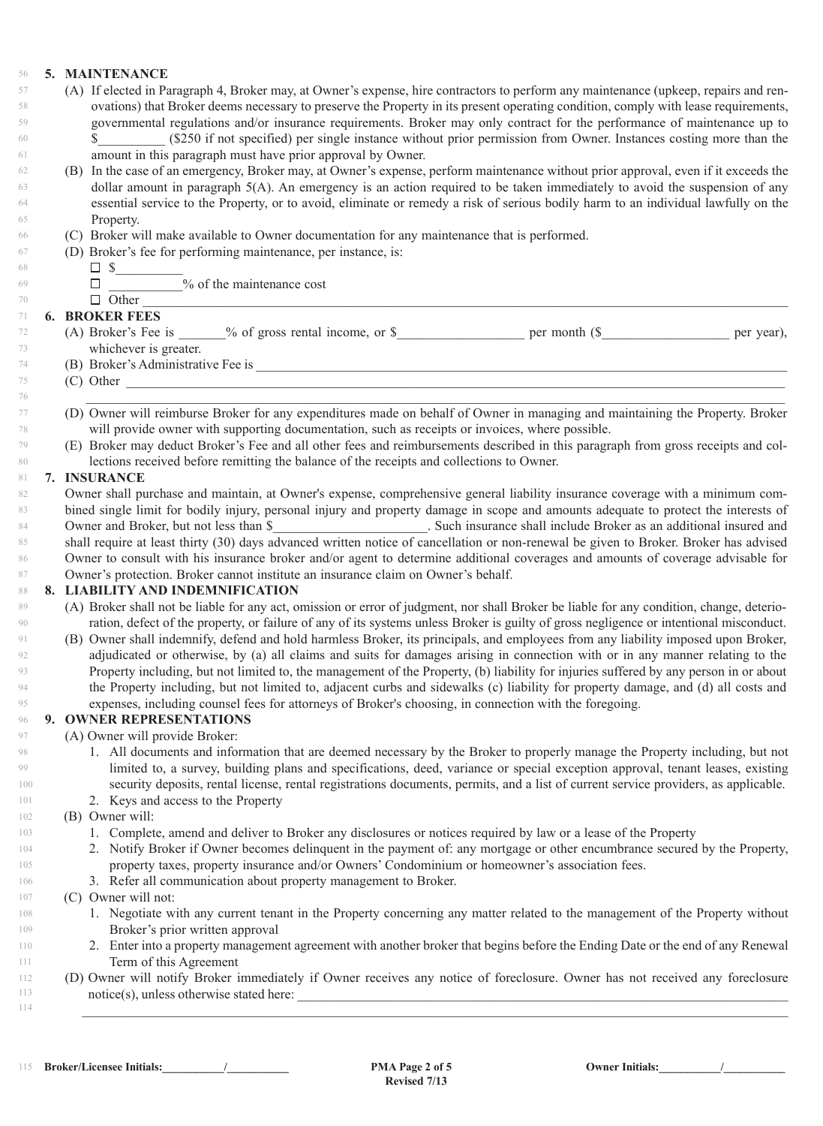### **5. MAINteNANce**

- (A) If elected in Paragraph 4, Broker may, at Owner's expense, hire contractors to perform any maintenance (upkeep, repairs and renovations) that Broker deems necessary to preserve the Property in its present operating condition, comply with lease requirements, governmental regulations and/or insurance requirements. Broker may only contract for the performance of maintenance up to \$ (\$250 if not specified) per single instance without prior permission from Owner. Instances costing more than the amount in this paragraph must have prior approval by Owner.
- (B) In the case of an emergency, Broker may, at Owner's expense, perform maintenance without prior approval, even if it exceeds the dollar amount in paragraph 5(A). An emergency is an action required to be taken immediately to avoid the suspension of any essential service to the Property, or to avoid, eliminate or remedy a risk of serious bodily harm to an individual lawfully on the Property.
- (C) Broker will make available to Owner documentation for any maintenance that is performed.
- (D) Broker's fee for performing maintenance, per instance, is:
- $\Box$  \$
	- $\Box$   $\Box$   $\Diamond$  of the maintenance cost

# Other quantum and  $\overline{a}$  and  $\overline{b}$  and  $\overline{c}$  and  $\overline{c}$  and  $\overline{c}$  and  $\overline{c}$  and  $\overline{c}$  and  $\overline{c}$  and  $\overline{c}$  and  $\overline{c}$  and  $\overline{c}$  and  $\overline{c}$  and  $\overline{c}$  and  $\overline{c}$  and  $\overline{c}$  and  $\overline{c}$

# **6. BrOker feeS**

- (A) Broker's Fee is \_\_\_\_\_\_% of gross rental income, or \$\_\_\_\_\_\_\_\_\_\_\_\_\_\_\_ per month (\$\_\_\_\_\_\_\_\_\_\_\_\_\_\_\_\_\_\_ per year), whichever is greater.
- (B) Broker's Administrative Fee is
- $(C)$  Other
- (D) Owner will reimburse Broker for any expenditures made on behalf of Owner in managing and maintaining the Property. Broker will provide owner with supporting documentation, such as receipts or invoices, where possible.
- (E) Broker may deduct Broker's Fee and all other fees and reimbursements described in this paragraph from gross receipts and collections received before remitting the balance of the receipts and collections to Owner.

### **7. INSurANce**

Owner shall purchase and maintain, at Owner's expense, comprehensive general liability insurance coverage with a minimum combined single limit for bodily injury, personal injury and property damage in scope and amounts adequate to protect the interests of Owner and Broker, but not less than \$\_\_\_\_\_\_\_\_\_\_\_\_\_\_\_\_\_\_\_\_\_\_\_\_. Such insurance shall include Broker as an additional insured and shall require at least thirty (30) days advanced written notice of cancellation or non-renewal be given to Broker. Broker has advised Owner to consult with his insurance broker and/or agent to determine additional coverages and amounts of coverage advisable for Owner's protection. Broker cannot institute an insurance claim on Owner's behalf.

### **8. lIABIlItY AND INDeMNIfIcAtION**

- (A) Broker shall not be liable for any act, omission or error of judgment, nor shall Broker be liable for any condition, change, deterioration, defect of the property, or failure of any of its systems unless Broker is guilty of gross negligence or intentional misconduct.
- (B) Owner shall indemnify, defend and hold harmless Broker, its principals, and employees from any liability imposed upon Broker, adjudicated or otherwise, by (a) all claims and suits for damages arising in connection with or in any manner relating to the Property including, but not limited to, the management of the Property, (b) liability for injuries suffered by any person in or about the Property including, but not limited to, adjacent curbs and sidewalks (c) liability for property damage, and (d) all costs and expenses, including counsel fees for attorneys of Broker's choosing, in connection with the foregoing.

# **9. OWNer rePreSeNtAtIONS**

# (A) Owner will provide Broker:

- 1. All documents and information that are deemed necessary by the Broker to properly manage the Property including, but not limited to, a survey, building plans and specifications, deed, variance or special exception approval, tenant leases, existing security deposits, rental license, rental registrations documents, permits, and a list of current service providers, as applicable.
- 2. Keys and access to the Property
- (B) Owner will:
	- 1. Complete, amend and deliver to Broker any disclosures or notices required by law or a lease of the Property
	- 2. Notify Broker if Owner becomes delinquent in the payment of: any mortgage or other encumbrance secured by the Property, property taxes, property insurance and/or Owners' Condominium or homeowner's association fees.
	- 3. Refer all communication about property management to Broker.

# (C) Owner will not:

- 1. Negotiate with any current tenant in the Property concerning any matter related to the management of the Property without Broker's prior written approval
- 2. Enter into a property management agreement with another broker that begins before the Ending Date or the end of any Renewal Term of this Agreement
- (D) Owner will notify Broker immediately if Owner receives any notice of foreclosure. Owner has not received any foreclosure notice(s), unless otherwise stated here: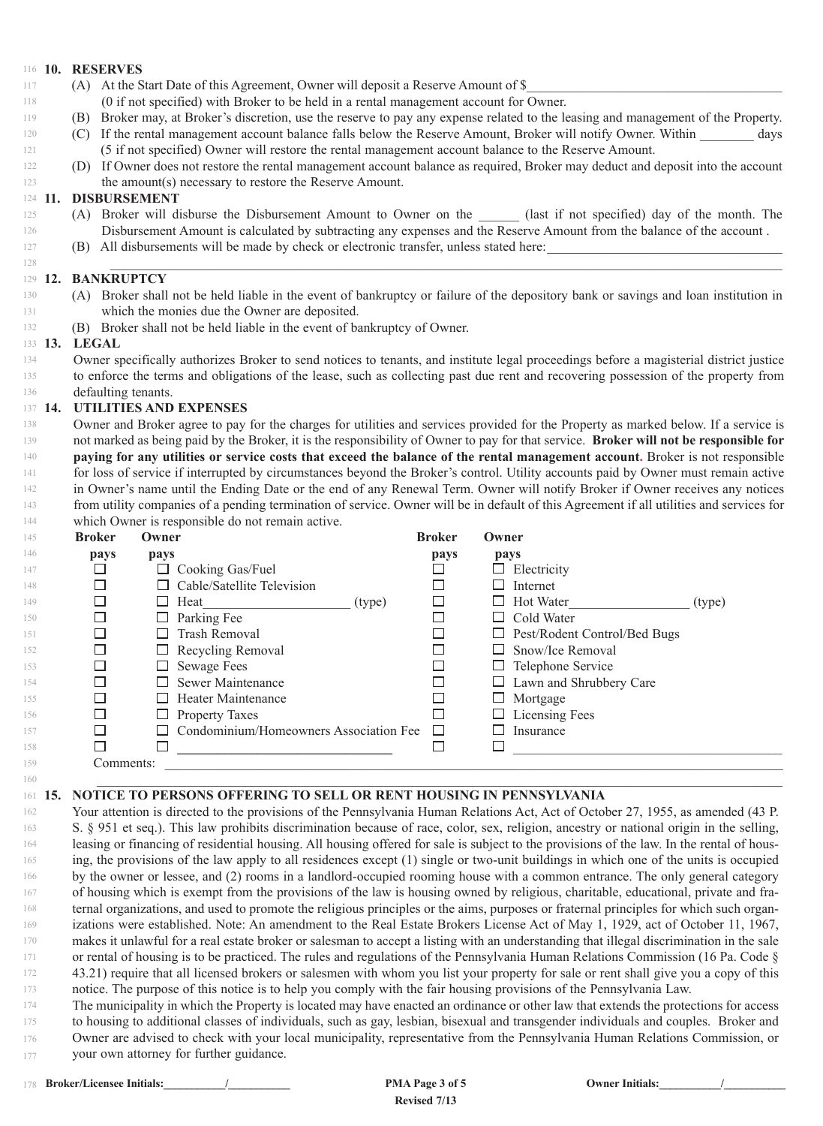### **10. reServeS** 116

130 131 132

160

- (A) At the Start Date of this Agreement, Owner will deposit a Reserve Amount of  $\$$ 117
	- (0 if not specified) with Broker to be held in a rental management account for Owner.
	- (B) Broker may, at Broker's discretion, use the reserve to pay any expense related to the leasing and management of the Property.
	- (C) If the rental management account balance falls below the Reserve Amount, Broker will notify Owner. within \_\_\_\_\_\_\_\_ days (5 if not specified) Owner will restore the rental management account balance to the Reserve Amount.
	- (D) If Owner does not restore the rental management account balance as required, Broker may deduct and deposit into the account the amount(s) necessary to restore the Reserve Amount.

#### **11. DISBurSeMeNt**  $124$  11.

- (A) Broker will disburse the Disbursement Amount to Owner on the \_\_\_\_\_\_ (last if not specified) day of the month. The Disbursement Amount is calculated by subtracting any expenses and the Reserve Amount from the balance of the account .
- (B) All disbursements will be made by check or electronic transfer, unless stated here:

### 129 12. **BANKRUPTCY**

(A) Broker shall not be held liable in the event of bankruptcy or failure of the depository bank or savings and loan institution in which the monies due the Owner are deposited.

 $\mathcal{L}_\mathcal{L} = \{ \mathcal{L}_\mathcal{L} = \{ \mathcal{L}_\mathcal{L} = \{ \mathcal{L}_\mathcal{L} = \{ \mathcal{L}_\mathcal{L} = \{ \mathcal{L}_\mathcal{L} = \{ \mathcal{L}_\mathcal{L} = \{ \mathcal{L}_\mathcal{L} = \{ \mathcal{L}_\mathcal{L} = \{ \mathcal{L}_\mathcal{L} = \{ \mathcal{L}_\mathcal{L} = \{ \mathcal{L}_\mathcal{L} = \{ \mathcal{L}_\mathcal{L} = \{ \mathcal{L}_\mathcal{L} = \{ \mathcal{L}_\mathcal{$ 

(B) Broker shall not be held liable in the event of bankruptcy of Owner.

#### **13. legAl** 133

Owner specifically authorizes Broker to send notices to tenants, and institute legal proceedings before a magisterial district justice to enforce the terms and obligations of the lease, such as collecting past due rent and recovering possession of the property from defaulting tenants. 134 135 136

#### **14. utIlItIeS AND eXPeNSeS** 137 14.

Owner and Broker agree to pay for the charges for utilities and services provided for the Property as marked below. If a service is not marked as being paid by the Broker, it is the responsibility of Owner to pay for that service. **Broker will not be responsible for paying for any utilities or service costs that exceed the balance of the rental management account.** Broker is not responsible for loss of service if interrupted by circumstances beyond the Broker's control. Utility accounts paid by Owner must remain active in Owner's name until the Ending Date or the end of any Renewal Term. Owner will notify Broker if Owner receives any notices from utility companies of a pending termination of service. Owner will be in default of this Agreement if all utilities and services for which Owner is responsible do not remain active. 138 139 140 141 142 143 144

| 145 | <b>Broker</b> | Owner                                  | <b>Broker</b> | Owner                        |  |
|-----|---------------|----------------------------------------|---------------|------------------------------|--|
| 146 | pays          | pays                                   | pays          | pays                         |  |
| 147 |               | Cooking Gas/Fuel<br>ப                  |               | Electricity                  |  |
| 148 |               | Cable/Satellite Television             |               | Internet                     |  |
| 149 |               | Heat<br>(type)                         |               | <b>Hot Water</b><br>(type)   |  |
| 150 |               | Parking Fee                            |               | Cold Water                   |  |
| 151 |               | <b>Trash Removal</b>                   |               | Pest/Rodent Control/Bed Bugs |  |
| 152 |               | Recycling Removal                      |               | Snow/Ice Removal             |  |
| 153 |               | Sewage Fees                            |               | Telephone Service            |  |
| 154 |               | Sewer Maintenance                      |               | Lawn and Shrubbery Care      |  |
| 155 |               | Heater Maintenance                     |               | Mortgage                     |  |
| 156 |               | $\Box$ Property Taxes                  |               | Licensing Fees               |  |
| 157 |               | Condominium/Homeowners Association Fee | $\Box$        | Insurance                    |  |
| 158 |               |                                        |               |                              |  |
| 159 | Comments:     |                                        |               |                              |  |

#### **15. NOtIce tO PerSONS OfferINg tO Sell Or reNt hOuSINg IN PeNNSYlvANIA** 161

your attention is directed to the provisions of the Pennsylvania Human Relations Act, Act of October 27, 1955, as amended (43 P. S. § 951 et seq.). This law prohibits discrimination because of race, color, sex, religion, ancestry or national origin in the selling, leasing or financing of residential housing. All housing offered for sale is subject to the provisions of the law. In the rental of housing, the provisions of the law apply to all residences except (1) single or two-unit buildings in which one of the units is occupied by the owner or lessee, and (2) rooms in a landlord-occupied rooming house with a common entrance. The only general category of housing which is exempt from the provisions of the law is housing owned by religious, charitable, educational, private and fraternal organizations, and used to promote the religious principles or the aims, purposes or fraternal principles for which such organizations were established. Note: An amendment to the Real Estate Brokers License Act of May 1, 1929, act of October 11, 1967, makes it unlawful for a real estate broker or salesman to accept a listing with an understanding that illegal discrimination in the sale or rental of housing is to be practiced. The rules and regulations of the Pennsylvania Human Relations Commission (16 Pa. Code § 43.21) require that all licensed brokers or salesmen with whom you list your property for sale or rent shall give you a copy of this notice. The purpose of this notice is to help you comply with the fair housing provisions of the Pennsylvania Law. 162 163 164 165 166 167 168 169 170 171 172 173

 $\mathcal{L}_\mathcal{L} = \{ \mathcal{L}_\mathcal{L} = \{ \mathcal{L}_\mathcal{L} = \{ \mathcal{L}_\mathcal{L} = \{ \mathcal{L}_\mathcal{L} = \{ \mathcal{L}_\mathcal{L} = \{ \mathcal{L}_\mathcal{L} = \{ \mathcal{L}_\mathcal{L} = \{ \mathcal{L}_\mathcal{L} = \{ \mathcal{L}_\mathcal{L} = \{ \mathcal{L}_\mathcal{L} = \{ \mathcal{L}_\mathcal{L} = \{ \mathcal{L}_\mathcal{L} = \{ \mathcal{L}_\mathcal{L} = \{ \mathcal{L}_\mathcal{$ 

The municipality in which the Property is located may have enacted an ordinance or other law that extends the protections for access to housing to additional classes of individuals, such as gay, lesbian, bisexual and transgender individuals and couples. Broker and Owner are advised to check with your local municipality, representative from the Pennsylvania Human Relations Commission, or your own attorney for further guidance. 174 175 176 177

**Broker/licensee Initials:\_\_\_\_\_\_\_\_\_\_\_/\_\_\_\_\_\_\_\_\_\_\_ PMA Page 3 of 5 Owner Initials:\_\_\_\_\_\_\_\_\_\_\_/\_\_\_\_\_\_\_\_\_\_\_** 178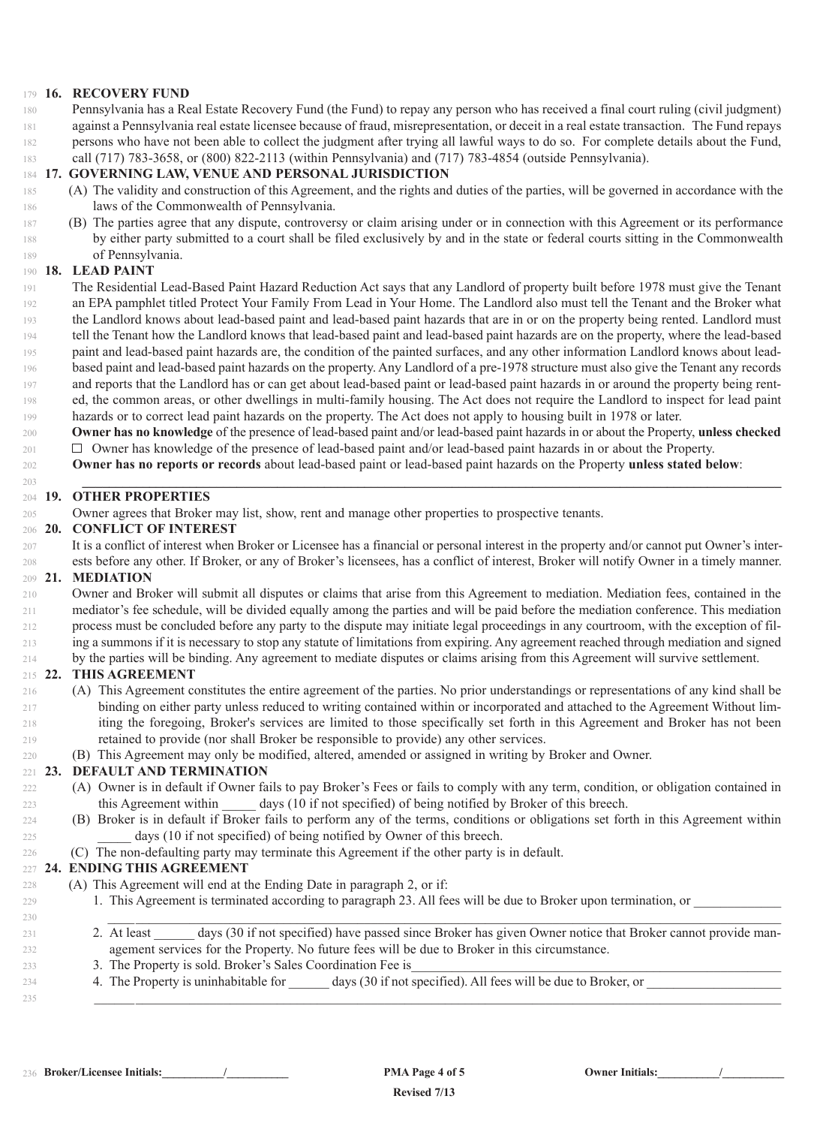### 179 **16. RECOVERY FUND**

Pennsylvania has a Real Estate Recovery Fund (the Fund) to repay any person who has received a final court ruling (civil judgment) against a Pennsylvania real estate licensee because of fraud, misrepresentation, or deceit in a real estate transaction. The Fund repays persons who have not been able to collect the judgment after trying all lawful ways to do so. For complete details about the Fund, call (717) 783-3658, or (800) 822-2113 (within Pennsylvania) and (717) 783-4854 (outside Pennsylvania). 180 181 182 183

# **17. gOverNINg lAW, veNue AND PerSONAl JurISDIctION** 184

- (A) The validity and construction of this Agreement, and the rights and duties of the parties, will be governed in accordance with the laws of the Commonwealth of Pennsylvania.
- (B) The parties agree that any dispute, controversy or claim arising under or in connection with this Agreement or its performance by either party submitted to a court shall be filed exclusively by and in the state or federal courts sitting in the Commonwealth of Pennsylvania. 187 189

### 190 **18. LEAD PAINT**

185 186

188

203

The Residential Lead-Based Paint Hazard Reduction Act says that any Landlord of property built before 1978 must give the Tenant an EPA pamphlet titled Protect your Family From Lead in your Home. The Landlord also must tell the Tenant and the Broker what the Landlord knows about lead-based paint and lead-based paint hazards that are in or on the property being rented. Landlord must tell the Tenant how the Landlord knows that lead-based paint and lead-based paint hazards are on the property, where the lead-based paint and lead-based paint hazards are, the condition of the painted surfaces, and any other information Landlord knows about leadbased paint and lead-based paint hazards on the property. Any Landlord of a pre-1978 structure must also give the Tenant any records and reports that the Landlord has or can get about lead-based paint or lead-based paint hazards in or around the property being rented, the common areas, or other dwellings in multi-family housing. The Act does not require the Landlord to inspect for lead paint hazards or to correct lead paint hazards on the property. The Act does not apply to housing built in 1978 or later. 191 192 193 194 195 196 197 198 199

**Owner has no knowledge** of the presence of lead-based paint and/or lead-based paint hazards in or about the Property, **unless checked**  $\Box$  Owner has knowledge of the presence of lead-based paint and/or lead-based paint hazards in or about the Property. 200 201

**\_\_\_\_\_\_\_\_\_\_\_\_\_\_\_\_\_\_\_\_\_\_\_\_\_\_\_\_\_\_\_\_\_\_\_\_\_\_\_\_\_\_\_\_\_\_\_\_\_\_\_\_\_\_\_\_\_\_\_\_\_\_\_\_\_\_\_\_\_\_\_\_\_\_\_\_\_\_\_\_\_\_\_\_\_\_\_\_\_\_\_\_\_\_\_\_\_\_\_\_\_\_\_\_**

**Owner has no reports or records** about lead-based paint or lead-based paint hazards on the Property **unless stated below**: 202

### **19. Other PrOPertIeS** 204

Owner agrees that Broker may list, show, rent and manage other properties to prospective tenants. 205

#### **20. cONflIct Of INtereSt** 206 20.

It is a conflict of interest when Broker or Licensee has a financial or personal interest in the property and/or cannot put Owner's inter-207

- ests before any other. If Broker, or any of Broker's licensees, has a conflict of interest, Broker will notify Owner in a timely manner. **21. MeDIAtION** 208 209
- Owner and Broker will submit all disputes or claims that arise from this Agreement to mediation. Mediation fees, contained in the mediator's fee schedule, will be divided equally among the parties and will be paid before the mediation conference. This mediation process must be concluded before any party to the dispute may initiate legal proceedings in any courtroom, with the exception of filing a summons if it is necessary to stop any statute of limitations from expiring. Any agreement reached through mediation and signed by the parties will be binding. Any agreement to mediate disputes or claims arising from this Agreement will survive settlement. 210 211 212 213 214

#### **22. thIS AgreeMeNt** 215 22.

- (A) This Agreement constitutes the entire agreement of the parties. No prior understandings or representations of any kind shall be binding on either party unless reduced to writing contained within or incorporated and attached to the Agreement without limiting the foregoing, Broker's services are limited to those specifically set forth in this Agreement and Broker has not been retained to provide (nor shall Broker be responsible to provide) any other services. 216 217 218 219
- (B) This Agreement may only be modified, altered, amended or assigned in writing by Broker and Owner. 220

#### **23. DefAult AND terMINAtION** 221

- (A) Owner is in default if Owner fails to pay Broker's Fees or fails to comply with any term, condition, or obligation contained in this Agreement within \_\_\_\_\_ days (10 if not specified) of being notified by Broker of this breech. 222 223
- (B) Broker is in default if Broker fails to perform any of the terms, conditions or obligations set forth in this Agreement within days (10 if not specified) of being notified by Owner of this breech. 224 225
- (C) The non-defaulting party may terminate this Agreement if the other party is in default. 226

#### **24. eNDINg thIS AgreeMeNt** 227

- (A) This Agreement will end at the Ending Date in paragraph 2, or if: 228
	- 1. This Agreement is terminated according to paragraph 23. All fees will be due to Broker upon termination, or

### 229 230 231 232

233

235

2. At least days (30 if not specified) have passed since Broker has given Owner notice that Broker cannot provide management services for the Property. No future fees will be due to Broker in this circumstance.

 $\overline{\mathcal{L}}$  , and the contribution of the contribution of the contribution of the contribution of the contribution of the contribution of the contribution of the contribution of the contribution of the contribution of the

- 3. The Property is sold. Broker's Sales Coordination Fee is
- 4. The Property is uninhabitable for \_\_\_\_\_\_ days (30 if not specified). All fees will be due to Broker, or  $\_$  ,  $\_$  ,  $\_$  ,  $\_$  ,  $\_$  ,  $\_$  ,  $\_$  ,  $\_$  ,  $\_$  ,  $\_$  ,  $\_$  ,  $\_$  ,  $\_$  ,  $\_$  ,  $\_$  ,  $\_$  ,  $\_$  ,  $\_$  ,  $\_$  ,  $\_$  ,  $\_$  ,  $\_$  ,  $\_$  ,  $\_$  ,  $\_$  ,  $\_$  ,  $\_$  ,  $\_$  ,  $\_$  ,  $\_$  ,  $\_$  ,  $\_$  ,  $\_$  ,  $\_$  ,  $\_$  ,  $\_$  ,  $\_$  , 234